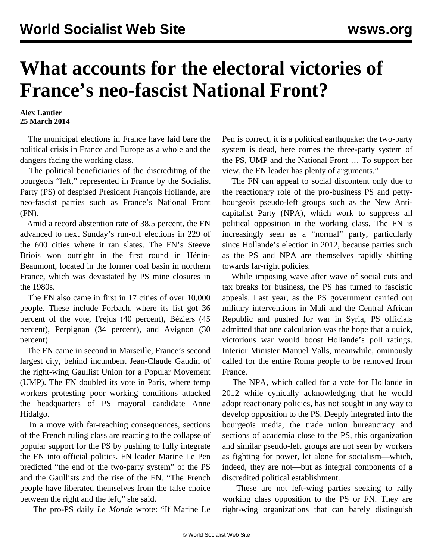## **What accounts for the electoral victories of France's neo-fascist National Front?**

## **Alex Lantier 25 March 2014**

 The municipal elections in France have laid bare the political crisis in France and Europe as a whole and the dangers facing the working class.

 The political beneficiaries of the discrediting of the bourgeois "left," represented in France by the Socialist Party (PS) of despised President François Hollande, are neo-fascist parties such as France's National Front (FN).

 Amid a record abstention rate of 38.5 percent, the FN advanced to next Sunday's run-off elections in 229 of the 600 cities where it ran slates. The FN's Steeve Briois won outright in the first round in Hénin-Beaumont, located in the former coal basin in northern France, which was devastated by PS mine closures in the 1980s.

 The FN also came in first in 17 cities of over 10,000 people. These include Forbach, where its list got 36 percent of the vote, Fréjus (40 percent), Béziers (45 percent), Perpignan (34 percent), and Avignon (30 percent).

 The FN came in second in Marseille, France's second largest city, behind incumbent Jean-Claude Gaudin of the right-wing Gaullist Union for a Popular Movement (UMP). The FN doubled its vote in Paris, where temp workers protesting poor working conditions attacked the headquarters of PS mayoral candidate Anne Hidalgo.

 In a move with far-reaching consequences, sections of the French ruling class are reacting to the collapse of popular support for the PS by pushing to fully integrate the FN into official politics. FN leader Marine Le Pen predicted "the end of the two-party system" of the PS and the Gaullists and the rise of the FN. "The French people have liberated themselves from the false choice between the right and the left," she said.

The pro-PS daily *Le Monde* wrote: "If Marine Le

Pen is correct, it is a political earthquake: the two-party system is dead, here comes the three-party system of the PS, UMP and the National Front … To support her view, the FN leader has plenty of arguments."

 The FN can appeal to social discontent only due to the reactionary role of the pro-business PS and pettybourgeois pseudo-left groups such as the New Anticapitalist Party (NPA), which work to suppress all political opposition in the working class. The FN is increasingly seen as a "normal" party, particularly since Hollande's election in 2012, because parties such as the PS and NPA are themselves rapidly shifting towards far-right policies.

 While imposing wave after wave of social cuts and tax breaks for business, the PS has turned to fascistic appeals. Last year, as the PS government carried out military interventions in Mali and the Central African Republic and pushed for war in Syria, PS officials admitted that one calculation was the hope that a quick, victorious war would boost Hollande's poll ratings. Interior Minister Manuel Valls, meanwhile, ominously called for the entire Roma people to be removed from France.

 The NPA, which called for a vote for Hollande in 2012 while cynically acknowledging that he would adopt reactionary policies, has not sought in any way to develop opposition to the PS. Deeply integrated into the bourgeois media, the trade union bureaucracy and sections of academia close to the PS, this organization and similar pseudo-left groups are not seen by workers as fighting for power, let alone for socialism—which, indeed, they are not—but as integral components of a discredited political establishment.

 These are not left-wing parties seeking to rally working class opposition to the PS or FN. They are right-wing organizations that can barely distinguish